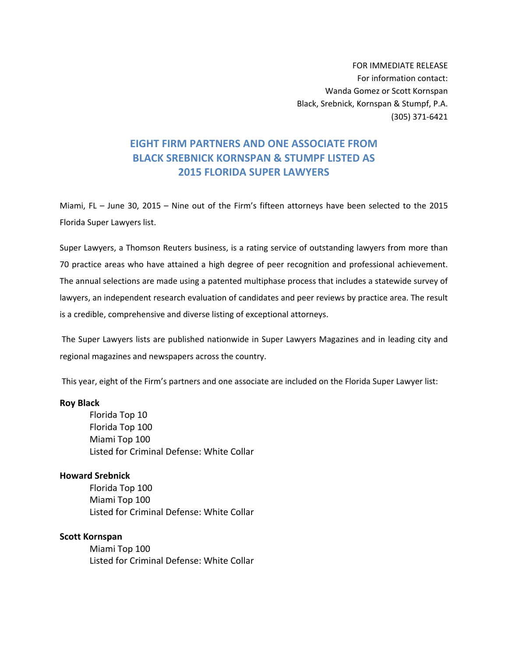FOR IMMEDIATE RELEASE For information contact: Wanda Gomez or Scott Kornspan Black, Srebnick, Kornspan & Stumpf, P.A. (305) 371‐6421

# **EIGHT FIRM PARTNERS AND ONE ASSOCIATE FROM BLACK SREBNICK KORNSPAN & STUMPF LISTED AS 2015 FLORIDA SUPER LAWYERS**

Miami, FL – June 30, 2015 – Nine out of the Firm's fifteen attorneys have been selected to the 2015 Florida Super Lawyers list.

Super Lawyers, a Thomson Reuters business, is a rating service of outstanding lawyers from more than 70 practice areas who have attained a high degree of peer recognition and professional achievement. The annual selections are made using a patented multiphase process that includes a statewide survey of lawyers, an independent research evaluation of candidates and peer reviews by practice area. The result is a credible, comprehensive and diverse listing of exceptional attorneys.

The Super Lawyers lists are published nationwide in Super Lawyers Magazines and in leading city and regional magazines and newspapers across the country.

This year, eight of the Firm's partners and one associate are included on the Florida Super Lawyer list:

#### **Roy Black**

Florida Top 10 Florida Top 100 Miami Top 100 Listed for Criminal Defense: White Collar

#### **Howard Srebnick**

Florida Top 100 Miami Top 100 Listed for Criminal Defense: White Collar

#### **Scott Kornspan**

Miami Top 100 Listed for Criminal Defense: White Collar